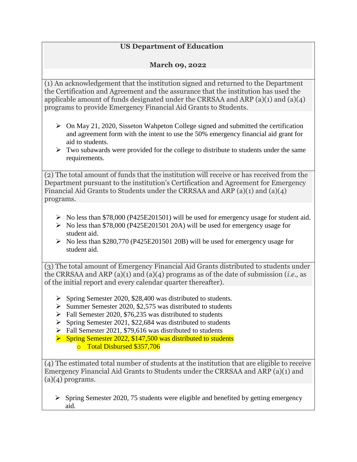## **US Department of Education**

## **March 09, 2022**

(1) An acknowledgement that the institution signed and returned to the Department the Certification and Agreement and the assurance that the institution has used the applicable amount of funds designated under the CRRSAA and ARP (a)(1) and (a)(4) programs to provide Emergency Financial Aid Grants to Students.

- $\triangleright$  On May 21, 2020, Sisseton Wahpeton College signed and submitted the certification and agreement form with the intent to use the 50% emergency financial aid grant for aid to students.
- $\triangleright$  Two subawards were provided for the college to distribute to students under the same requirements.

(2) The total amount of funds that the institution will receive or has received from the Department pursuant to the institution's Certification and Agreement for Emergency Financial Aid Grants to Students under the CRRSAA and ARP (a)(1) and (a)(4) programs.

- $\triangleright$  No less than \$78,000 (P425E201501) will be used for emergency usage for student aid.
- $\triangleright$  No less than \$78,000 (P425E201501 20A) will be used for emergency usage for student aid.
- $\triangleright$  No less than \$280,770 (P425E201501 20B) will be used for emergency usage for student aid.

(3) The total amount of Emergency Financial Aid Grants distributed to students under the CRRSAA and ARP (a)(1) and (a)(4) programs as of the date of submission (*i.e.,* as of the initial report and every calendar quarter thereafter).

- $\triangleright$  Spring Semester 2020, \$28,400 was distributed to students.
- $\triangleright$  Summer Semester 2020, \$2,575 was distributed to students
- $\triangleright$  Fall Semester 2020, \$76,235 was distributed to students
- $\triangleright$  Spring Semester 2021, \$22,684 was distributed to students
- $\triangleright$  Fall Semester 2021, \$79,616 was distributed to students
- $\triangleright$  Spring Semester 2022, \$147,500 was distributed to students o Total Disbursed \$357,706

(4) The estimated total number of students at the institution that are eligible to receive Emergency Financial Aid Grants to Students under the CRRSAA and ARP (a)(1) and  $(a)(4)$  programs.

 $\triangleright$  Spring Semester 2020, 75 students were eligible and benefited by getting emergency aid.